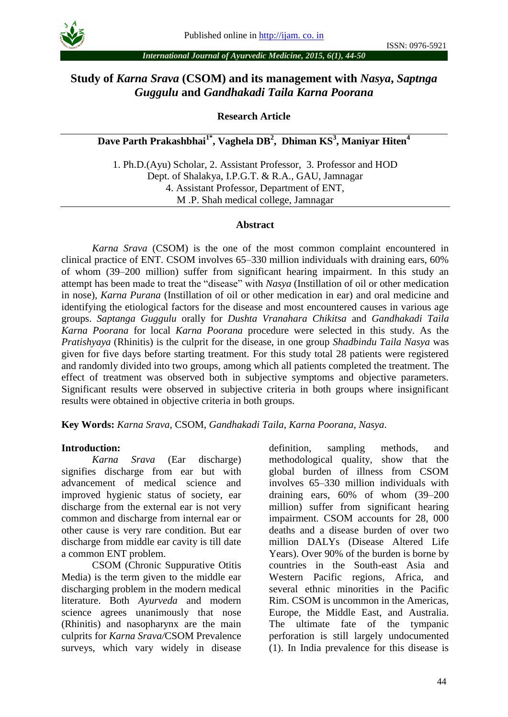

### *International Journal of Ayurvedic Medicine, 2015, 6(1), 44-50*

# **Study of** *Karna Srava* **(CSOM) and its management with** *Nasya***,** *Saptnga Guggulu* **and** *Gandhakadi Taila Karna Poorana*

**Research Article**

**Dave Parth Prakashbhai1\* , Vaghela DB 2 , Dhiman KS 3 , Maniyar Hiten<sup>4</sup>**

1. Ph.D.(Ayu) Scholar, 2. Assistant Professor, 3. Professor and HOD Dept. of Shalakya, I.P.G.T. & R.A., GAU, Jamnagar 4. Assistant Professor, Department of ENT, M .P. Shah medical college, Jamnagar

#### **Abstract**

*Karna Srava* (CSOM) is the one of the most common complaint encountered in clinical practice of ENT. CSOM involves 65–330 million individuals with draining ears, 60% of whom (39–200 million) suffer from significant hearing impairment. In this study an attempt has been made to treat the "disease" with *Nasya* (Instillation of oil or other medication in nose)*, Karna Purana* (Instillation of oil or other medication in ear) and oral medicine and identifying the etiological factors for the disease and most encountered causes in various age groups. *Saptanga Guggulu* orally for *Dushta Vranahara Chikitsa* and *Gandhakadi Taila Karna Poorana* for local *Karna Poorana* procedure were selected in this study. As the *Pratishyaya* (Rhinitis) is the culprit for the disease, in one group *Shadbindu Taila Nasya* was given for five days before starting treatment. For this study total 28 patients were registered and randomly divided into two groups, among which all patients completed the treatment. The effect of treatment was observed both in subjective symptoms and objective parameters. Significant results were observed in subjective criteria in both groups where insignificant results were obtained in objective criteria in both groups.

**Key Words:** *Karna Srava*, CSOM, *Gandhakadi Taila*, *Karna Poorana*, *Nasya*.

#### **Introduction:**

*Karna Srava* (Ear discharge) signifies discharge from ear but with advancement of medical science and improved hygienic status of society, ear discharge from the external ear is not very common and discharge from internal ear or other cause is very rare condition. But ear discharge from middle ear cavity is till date a common ENT problem.

CSOM (Chronic Suppurative Otitis Media) is the term given to the middle ear discharging problem in the modern medical literature. Both *Ayurveda* and modern science agrees unanimously that nose (Rhinitis) and nasopharynx are the main culprits for *Karna Srava/*CSOM Prevalence surveys, which vary widely in disease

definition, sampling methods, and methodological quality, show that the global burden of illness from CSOM involves 65–330 million individuals with draining ears, 60% of whom (39–200 million) suffer from significant hearing impairment. CSOM accounts for 28, 000 deaths and a disease burden of over two million DALYs (Disease Altered Life Years). Over 90% of the burden is borne by countries in the South-east Asia and Western Pacific regions, Africa, and several ethnic minorities in the Pacific Rim. CSOM is uncommon in the Americas, Europe, the Middle East, and Australia. The ultimate fate of the tympanic perforation is still largely undocumented (1). In India prevalence for this disease is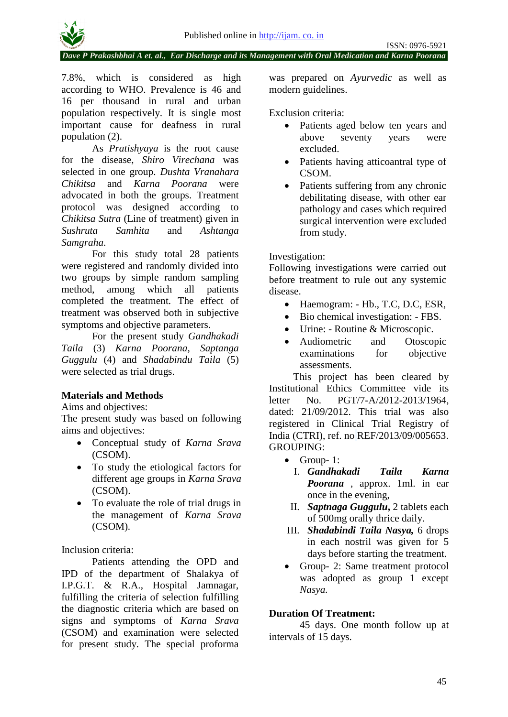

*Dave P Prakashbhai A et. al., Ear Discharge and its Management with Oral Medication and Karna Poorana*

7.8%, which is considered as high according to WHO. Prevalence is 46 and 16 per thousand in rural and urban population respectively. It is single most important cause for deafness in rural population (2).

As *Pratishyaya* is the root cause for the disease, *Shiro Virechana* was selected in one group. *Dushta Vranahara Chikitsa* and *Karna Poorana* were advocated in both the groups. Treatment protocol was designed according to *Chikitsa Sutra* (Line of treatment) given in *Sushruta Samhita* and *Ashtanga Samgraha*.

For this study total 28 patients were registered and randomly divided into two groups by simple random sampling method, among which all patients completed the treatment. The effect of treatment was observed both in subjective symptoms and objective parameters.

For the present study *Gandhakadi Taila* (3) *Karna Poorana*, *Saptanga Guggulu* (4) and *Shadabindu Taila* (5) were selected as trial drugs.

## **Materials and Methods**

Aims and objectives:

The present study was based on following aims and objectives:

- Conceptual study of *Karna Srava*  (CSOM).
- To study the etiological factors for different age groups in *Karna Srava*  (CSOM).
- To evaluate the role of trial drugs in the management of *Karna Srava*  (CSOM)*.*

Inclusion criteria:

Patients attending the OPD and IPD of the department of Shalakya of I.P.G.T. & R.A., Hospital Jamnagar, fulfilling the criteria of selection fulfilling the diagnostic criteria which are based on signs and symptoms of *Karna Srava*  (CSOM) and examination were selected for present study. The special proforma was prepared on *Ayurvedic* as well as modern guidelines.

Exclusion criteria:

- Patients aged below ten years and above seventy years were excluded.
- Patients having atticoantral type of CSOM.
- Patients suffering from any chronic debilitating disease, with other ear pathology and cases which required surgical intervention were excluded from study.

### Investigation:

Following investigations were carried out before treatment to rule out any systemic disease.

- Haemogram: Hb., T.C, D.C, ESR,
- Bio chemical investigation: FBS.
- Urine: Routine & Microscopic.
- Audiometric and Otoscopic examinations for objective assessments.

This project has been cleared by Institutional Ethics Committee vide its letter No. PGT/7-A/2012-2013/1964, dated: 21/09/2012. This trial was also registered in Clinical Trial Registry of India (CTRI), ref. no REF/2013/09/005653. GROUPING:

- Group- 1:
	- I. *Gandhakadi Taila Karna Poorana* , approx. 1ml. in ear once in the evening,
	- II. *Saptnaga Guggulu***,** 2 tablets each of 500mg orally thrice daily.
- III. *Shadabindi Taila Nasya,* 6 drops in each nostril was given for 5 days before starting the treatment.
- Group- 2: Same treatment protocol was adopted as group 1 except *Nasya.*

### **Duration Of Treatment:**

45 days. One month follow up at intervals of 15 days.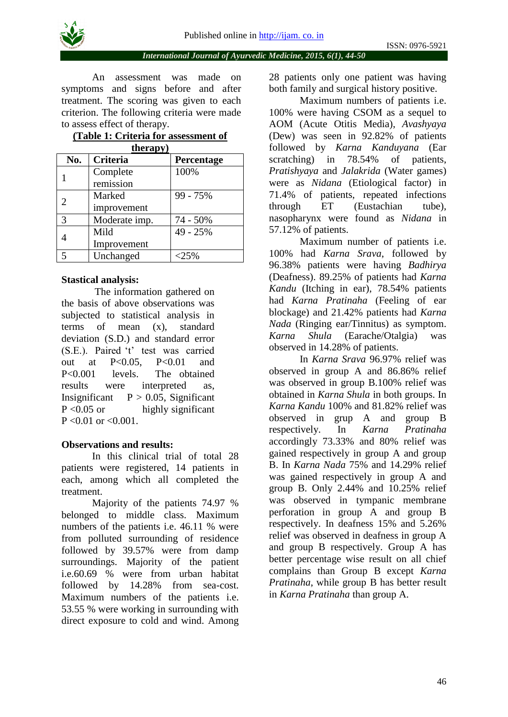

An assessment was made on symptoms and signs before and after treatment. The scoring was given to each criterion. The following criteria were made to assess effect of therapy.

### **(Table 1: Criteria for assessment of therapy)**

| No.                      | <b>Criteria</b> | Percentage |
|--------------------------|-----------------|------------|
|                          | Complete        | 100%       |
|                          | remission       |            |
|                          | Marked          | 99 - 75%   |
|                          | improvement     |            |
| 3                        | Moderate imp.   | 74 - 50%   |
|                          | Mild            | 49 - 25%   |
|                          | Improvement     |            |
| $\overline{\phantom{0}}$ | Unchanged       | $< 25\%$   |

### **Stastical analysis:**

The information gathered on the basis of above observations was subjected to statistical analysis in terms of mean (x), standard deviation (S.D.) and standard error (S.E.). Paired 't' test was carried out at P<0.05, P<0.01 and P<0.001 levels. The obtained results were interpreted as, Insignificant  $P > 0.05$ , Significant  $P < 0.05$  or highly significant  $P < 0.01$  or  $< 0.001$ .

### **Observations and results:**

In this clinical trial of total 28 patients were registered, 14 patients in each, among which all completed the treatment.

Majority of the patients 74.97 % belonged to middle class. Maximum numbers of the patients i.e. 46.11 % were from polluted surrounding of residence followed by 39.57% were from damp surroundings. Majority of the patient i.e.60.69 % were from urban habitat followed by 14.28% from sea-cost. Maximum numbers of the patients i.e. 53.55 % were working in surrounding with direct exposure to cold and wind. Among 28 patients only one patient was having both family and surgical history positive.

Maximum numbers of patients i.e. 100% were having CSOM as a sequel to AOM (Acute Otitis Media), *Avashyaya* (Dew) was seen in 92.82% of patients followed by *Karna Kanduyana* (Ear scratching) in 78.54% of patients, *Pratishyaya* and *Jalakrida* (Water games) were as *Nidana* (Etiological factor) in 71.4% of patients, repeated infections through ET (Eustachian tube), nasopharynx were found as *Nidana* in 57.12% of patients.

Maximum number of patients i.e. 100% had *Karna Srava*, followed by 96.38% patients were having *Badhirya* (Deafness). 89.25% of patients had *Karna Kandu* (Itching in ear), 78.54% patients had *Karna Pratinaha* (Feeling of ear blockage) and 21.42% patients had *Karna Nada* (Ringing ear/Tinnitus) as symptom. *Karna Shula* (Earache/Otalgia) was observed in 14.28% of patients.

In *Karna Srava* 96.97% relief was observed in group A and 86.86% relief was observed in group B.100% relief was obtained in *Karna Shula* in both groups. In *Karna Kandu* 100% and 81.82% relief was observed in grup A and group B respectively. In *Karna Pratinaha*  accordingly 73.33% and 80% relief was gained respectively in group A and group B. In *Karna Nada* 75% and 14.29% relief was gained respectively in group A and group B. Only 2.44% and 10.25% relief was observed in tympanic membrane perforation in group A and group B respectively. In deafness 15% and 5.26% relief was observed in deafness in group A and group B respectively. Group A has better percentage wise result on all chief complains than Group B except *Karna Pratinaha*, while group B has better result in *Karna Pratinaha* than group A.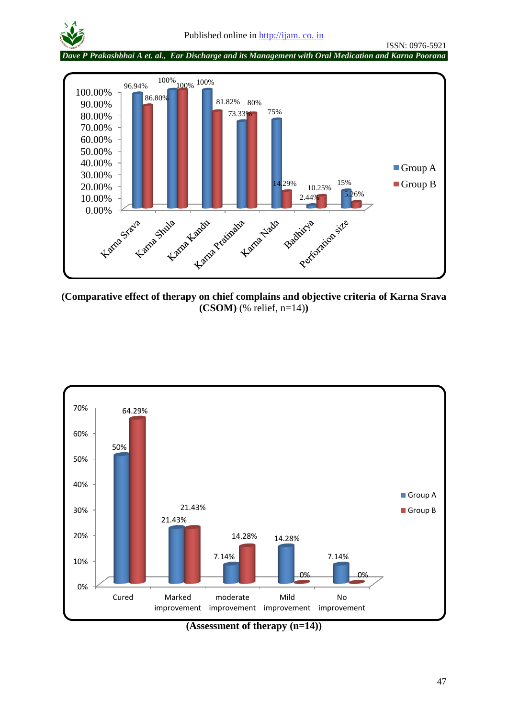

*Dave P Prakashbhai A et. al., Ear Discharge and its Management with Oral Medication and Karna Poorana*



**(Comparative effect of therapy on chief complains and objective criteria of Karna Srava (CSOM)** (% relief, n=14)**)**



**(Assessment of therapy (n=14))**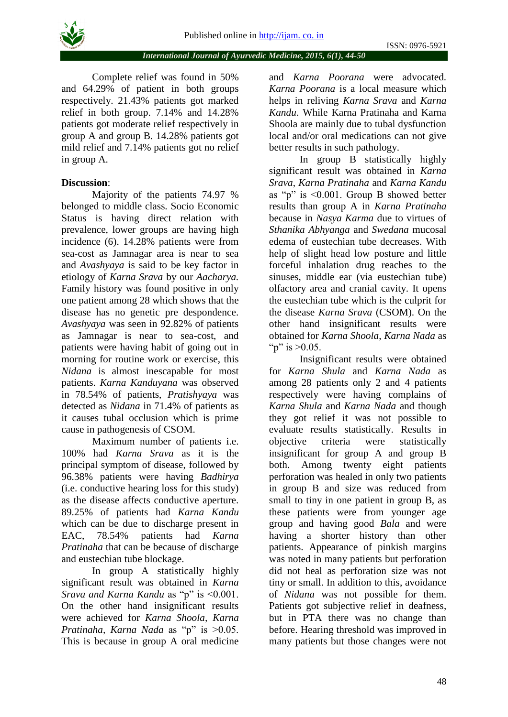*International Journal of Ayurvedic Medicine, 2015, 6(1), 44-50*

Complete relief was found in 50% and 64.29% of patient in both groups respectively. 21.43% patients got marked relief in both group. 7.14% and 14.28% patients got moderate relief respectively in group A and group B. 14.28% patients got mild relief and 7.14% patients got no relief in group A.

## **Discussion**:

Majority of the patients 74.97 % belonged to middle class. Socio Economic Status is having direct relation with prevalence, lower groups are having high incidence (6). 14.28% patients were from sea-cost as Jamnagar area is near to sea and *Avashyaya* is said to be key factor in etiology of *Karna Srava* by our *Aacharya.* Family history was found positive in only one patient among 28 which shows that the disease has no genetic pre despondence. *Avashyaya* was seen in 92.82% of patients as Jamnagar is near to sea-cost, and patients were having habit of going out in morning for routine work or exercise, this *Nidana* is almost inescapable for most patients. *Karna Kanduyana* was observed in 78.54% of patients, *Pratishyaya* was detected as *Nidana* in 71.4% of patients as it causes tubal occlusion which is prime cause in pathogenesis of CSOM.

Maximum number of patients i.e. 100% had *Karna Srava* as it is the principal symptom of disease, followed by 96.38% patients were having *Badhirya* (i.e. conductive hearing loss for this study) as the disease affects conductive aperture. 89.25% of patients had *Karna Kandu*  which can be due to discharge present in EAC, 78.54% patients had *Karna Pratinaha* that can be because of discharge and eustechian tube blockage.

In group A statistically highly significant result was obtained in *Karna Srava and Karna Kandu* as "p" is <0.001. On the other hand insignificant results were achieved for *Karna Shoola, Karna Pratinaha, Karna Nada* as "p" is >0.05. This is because in group A oral medicine

and *Karna Poorana* were advocated. *Karna Poorana* is a local measure which helps in reliving *Karna Srava* and *Karna Kandu*. While Karna Pratinaha and Karna Shoola are mainly due to tubal dysfunction local and/or oral medications can not give better results in such pathology.

In group B statistically highly significant result was obtained in *Karna Srava*, *Karna Pratinaha* and *Karna Kandu* as "p" is <0.001. Group B showed better results than group A in *Karna Pratinaha* because in *Nasya Karma* due to virtues of *Sthanika Abhyanga* and *Swedana* mucosal edema of eustechian tube decreases. With help of slight head low posture and little forceful inhalation drug reaches to the sinuses, middle ear (via eustechian tube) olfactory area and cranial cavity. It opens the eustechian tube which is the culprit for the disease *Karna Srava* (CSOM). On the other hand insignificant results were obtained for *Karna Shoola*, *Karna Nada* as " $p$ " is  $>0.05$ .

Insignificant results were obtained for *Karna Shula* and *Karna Nada* as among 28 patients only 2 and 4 patients respectively were having complains of *Karna Shula* and *Karna Nada* and though they got relief it was not possible to evaluate results statistically. Results in objective criteria were statistically insignificant for group A and group B both. Among twenty eight patients perforation was healed in only two patients in group B and size was reduced from small to tiny in one patient in group B, as these patients were from younger age group and having good *Bala* and were having a shorter history than other patients. Appearance of pinkish margins was noted in many patients but perforation did not heal as perforation size was not tiny or small. In addition to this, avoidance of *Nidana* was not possible for them. Patients got subjective relief in deafness, but in PTA there was no change than before. Hearing threshold was improved in many patients but those changes were not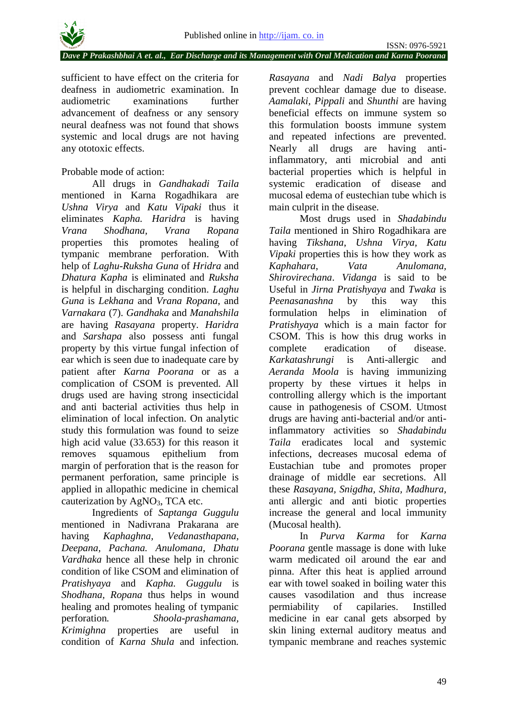*Dave P Prakashbhai A et. al., Ear Discharge and its Management with Oral Medication and Karna Poorana*

sufficient to have effect on the criteria for deafness in audiometric examination. In audiometric examinations further advancement of deafness or any sensory neural deafness was not found that shows systemic and local drugs are not having any ototoxic effects.

## Probable mode of action:

All drugs in *Gandhakadi Taila* mentioned in Karna Rogadhikara are *Ushna Virya* and *Katu Vipaki* thus it eliminates *Kapha. Haridra* is having *Vrana Shodhana, Vrana Ropana* properties this promotes healing of tympanic membrane perforation. With help of *Laghu-Ruksha Guna* of *Hridra* and *Dhatura Kapha* is eliminated and *Ruksha*  is helpful in discharging condition. *Laghu Guna* is *Lekhana* and *Vrana Ropana*, and *Varnakara* (7). *Gandhaka* and *Manahshila*  are having *Rasayana* property. *Haridra*  and *Sarshapa* also possess anti fungal property by this virtue fungal infection of ear which is seen due to inadequate care by patient after *Karna Poorana* or as a complication of CSOM is prevented. All drugs used are having strong insecticidal and anti bacterial activities thus help in elimination of local infection. On analytic study this formulation was found to seize high acid value (33.653) for this reason it removes squamous epithelium from margin of perforation that is the reason for permanent perforation, same principle is applied in allopathic medicine in chemical cauterization by  $AgNO_3$ , TCA etc.

Ingredients of *Saptanga Guggulu* mentioned in Nadivrana Prakarana are having *Kaphaghna, Vedanasthapana, Deepana, Pachana. Anulomana, Dhatu Vardhaka* hence all these help in chronic condition of like CSOM and elimination of *Pratishyaya* and *Kapha. Guggulu* is *Shodhana, Ropana* thus helps in wound healing and promotes healing of tympanic perforation*. Shoola-prashamana, Krimighna* properties are useful in condition of *Karna Shula* and infection*.* 

*Rasayana* and *Nadi Balya* properties prevent cochlear damage due to disease. *Aamalaki, Pippali* and *Shunthi* are having beneficial effects on immune system so this formulation boosts immune system and repeated infections are prevented. Nearly all drugs are having antiinflammatory, anti microbial and anti bacterial properties which is helpful in systemic eradication of disease and mucosal edema of eustechian tube which is main culprit in the disease.

Most drugs used in *Shadabindu Taila* mentioned in Shiro Rogadhikara are having *Tikshana*, *Ushna Virya, Katu Vipaki* properties this is how they work as *Kaphahara*, *Vata Anulomana, Shirovirechana*. *Vidanga* is said to be Useful in *Jirna Pratishyaya* and *Twaka* is *Peenasanashna* by this way this formulation helps in elimination of *Pratishyaya* which is a main factor for CSOM. This is how this drug works in complete eradication of disease. *Karkatashrungi* is Anti-allergic and *Aeranda Moola* is having immunizing property by these virtues it helps in controlling allergy which is the important cause in pathogenesis of CSOM. Utmost drugs are having anti-bacterial and/or antiinflammatory activities so *Shadabindu Taila* eradicates local and systemic infections, decreases mucosal edema of Eustachian tube and promotes proper drainage of middle ear secretions. All these *Rasayana, Snigdha, Shita, Madhura,*  anti allergic and anti biotic properties increase the general and local immunity (Mucosal health).

In *Purva Karma* for *Karna Poorana* gentle massage is done with luke warm medicated oil around the ear and pinna. After this heat is applied arround ear with towel soaked in boiling water this causes vasodilation and thus increase permiability of capilaries. Instilled medicine in ear canal gets absorped by skin lining external auditory meatus and tympanic membrane and reaches systemic